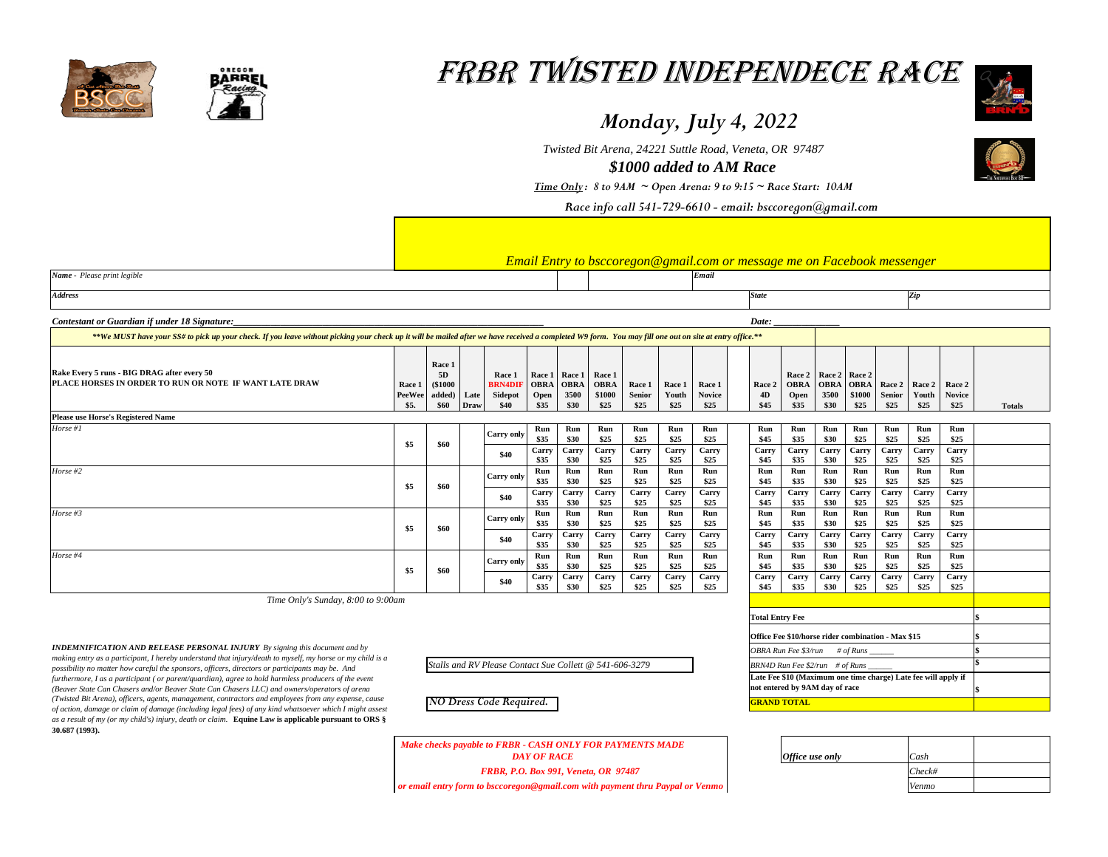|                                                                                                                                                                                                                                                                                                                                                                                                                                                                      |                                 |                                          |                |                                                           |                                        |                      |                                                                                                        |                                 |                         |                                 | Етан Ети у ю бысотедон в диансот от тезыде те он 1 ассобок тезыпдет |                                    |                                          |                |                                                        |                                |                                 |               |
|----------------------------------------------------------------------------------------------------------------------------------------------------------------------------------------------------------------------------------------------------------------------------------------------------------------------------------------------------------------------------------------------------------------------------------------------------------------------|---------------------------------|------------------------------------------|----------------|-----------------------------------------------------------|----------------------------------------|----------------------|--------------------------------------------------------------------------------------------------------|---------------------------------|-------------------------|---------------------------------|---------------------------------------------------------------------|------------------------------------|------------------------------------------|----------------|--------------------------------------------------------|--------------------------------|---------------------------------|---------------|
| Name - Please print legible                                                                                                                                                                                                                                                                                                                                                                                                                                          |                                 |                                          |                |                                                           |                                        |                      |                                                                                                        |                                 |                         | Email                           |                                                                     |                                    |                                          |                |                                                        |                                |                                 |               |
| <b>Address</b>                                                                                                                                                                                                                                                                                                                                                                                                                                                       |                                 |                                          |                |                                                           |                                        |                      |                                                                                                        |                                 |                         |                                 | <b>State</b>                                                        |                                    |                                          |                |                                                        | $\mathbf{Zip}$                 |                                 |               |
| Contestant or Guardian if under 18 Signature:                                                                                                                                                                                                                                                                                                                                                                                                                        |                                 |                                          |                |                                                           |                                        |                      |                                                                                                        |                                 |                         |                                 | Date:                                                               |                                    |                                          |                |                                                        |                                |                                 |               |
| **We MUST have your SS# to pick up your check. If you leave without picking your check up it will be mailed after we have received a completed W9 form. You may fill one out on site at entry office.**                                                                                                                                                                                                                                                              |                                 |                                          |                |                                                           |                                        |                      |                                                                                                        |                                 |                         |                                 |                                                                     |                                    |                                          |                |                                                        |                                |                                 |               |
| Rake Every 5 runs - BIG DRAG after every 50<br>PLACE HORSES IN ORDER TO RUN OR NOTE IF WANT LATE DRAW                                                                                                                                                                                                                                                                                                                                                                | Race 1<br><b>PeeWee</b><br>\$5. | Race 1<br>5D<br>\$1000<br>added)<br>\$60 | Late<br>  Draw | Race 1<br><b>BRN4DIF   OBRA   OBRA</b><br>Sidepot<br>\$40 | Race 1   Race 1<br><b>Open</b><br>\$35 | 3500<br>\$30         | <b>Race 1</b><br><b>OBRA</b><br>\$1000<br>\$25                                                         | Race 1<br><b>Senior</b><br>\$25 | Race 1<br>Youth<br>\$25 | Race 1<br><b>Novice</b><br>\$25 | Race 2<br><b>4D</b><br>\$45                                         | <b>OBRA</b><br><b>Open</b><br>\$35 | Race 2   Race 2   Race 2<br>3500<br>\$30 | \$1000<br>\$25 | <b>OBRA</b>   OBRA   Race 2  <br><b>Senior</b><br>\$25 | <b>Race 2</b><br>Youth<br>\$25 | Race 2<br><b>Novice</b><br>\$25 | <b>Totals</b> |
| <b>Please use Horse's Registered Name</b>                                                                                                                                                                                                                                                                                                                                                                                                                            |                                 |                                          |                |                                                           |                                        |                      |                                                                                                        |                                 |                         |                                 |                                                                     |                                    |                                          |                |                                                        |                                |                                 |               |
| Horse #1                                                                                                                                                                                                                                                                                                                                                                                                                                                             | \$5                             | \$60                                     |                | <b>Carry only</b>                                         | Run<br>\$35                            | Run<br>\$30          | Run<br>\$25                                                                                            | Run<br>\$25                     | Run<br>\$25             | Run<br>\$25                     | Run<br>\$45                                                         | Run<br>\$35                        | Run<br>\$30                              | Run<br>\$25    | Run<br>\$25                                            | Run<br>\$25                    | Run<br>\$25                     |               |
|                                                                                                                                                                                                                                                                                                                                                                                                                                                                      |                                 |                                          |                | \$40                                                      | Carry<br>\$35                          | Carry<br>\$30        | Carry<br>\$25                                                                                          | Carry<br>\$25                   | Carry<br>\$25           | Carry<br>\$25                   | Carry<br>\$45                                                       | Carry<br>\$35                      | Carry<br>\$30                            | Carry<br>\$25  | Carry<br>\$25                                          | Carry<br>\$25                  | Carry<br>\$25                   |               |
| Horse #2                                                                                                                                                                                                                                                                                                                                                                                                                                                             | \$5                             | \$60                                     |                | <b>Carry only</b>                                         | Run<br>\$35                            | Run<br>\$30          | Run<br>\$25                                                                                            | Run<br>\$25                     | Run<br>\$25             | Run<br>\$25                     | Run<br>\$45                                                         | Run<br>\$35                        | Run<br>\$30                              | Run<br>\$25    | Run<br>\$25                                            | Run<br>\$25                    | Run<br>\$25                     |               |
|                                                                                                                                                                                                                                                                                                                                                                                                                                                                      |                                 |                                          |                | \$40                                                      | Carry<br>\$35                          | Carry<br>\$30        | Carry<br>\$25                                                                                          | Carry<br>\$25                   | Carry<br>\$25           | Carry<br>\$25                   | Carry<br>\$45                                                       | Carry<br>\$35                      | Carry<br><b>\$30</b>                     | Carry<br>\$25  | Carry<br>\$25                                          | Carry<br>\$25                  | Carry<br>\$25                   |               |
| Horse #3                                                                                                                                                                                                                                                                                                                                                                                                                                                             | \$5                             | \$60                                     |                | <b>Carry only</b>                                         | Run<br>\$35                            | Run<br>\$30          | Run<br>\$25                                                                                            | Run<br>\$25                     | Run<br>\$25             | Run<br>\$25                     | Run<br>\$45                                                         | Run<br>\$35                        | Run<br>\$30                              | Run<br>\$25    | Run<br>\$25                                            | Run<br>\$25                    | Run<br>\$25                     |               |
|                                                                                                                                                                                                                                                                                                                                                                                                                                                                      |                                 |                                          |                | \$40                                                      | Carry<br>\$35                          | <b>Carry</b><br>\$30 | Carry<br>\$25                                                                                          | Carry<br>\$25                   | Carry<br>\$25           | Carry<br>\$25                   | Carry<br>\$45                                                       | Carry<br>\$35                      | Carry<br>\$30                            | Carry<br>\$25  | Carry<br>\$25                                          | Carry<br>\$25                  | Carry<br>\$25                   |               |
| Horse #4                                                                                                                                                                                                                                                                                                                                                                                                                                                             | \$5                             | \$60                                     |                | Carry only                                                | Run<br>\$35                            | Run<br>\$30          | Run<br>\$25                                                                                            | Run<br>\$25                     | Run<br>\$25             | Run<br>\$25                     | Run<br>\$45                                                         | Run<br>\$35                        | Run<br>\$30                              | Run<br>\$25    | Run<br>\$25                                            | Run<br>\$25                    | Run<br>\$25                     |               |
|                                                                                                                                                                                                                                                                                                                                                                                                                                                                      |                                 |                                          |                | \$40                                                      | <b>Carry</b><br>\$35                   | Carry<br>\$30        | Carry<br>\$25                                                                                          | Carry<br>\$25                   | Carry<br>\$25           | Carry<br>\$25                   | Carry<br>\$45                                                       | Carry<br>\$35                      | Carry<br>\$30                            | Carry<br>\$25  | Carry<br>\$25                                          | Carry<br>\$25                  | Carry<br>\$25                   |               |
| Time Only's Sunday, 8:00 to 9:00am                                                                                                                                                                                                                                                                                                                                                                                                                                   |                                 |                                          |                |                                                           |                                        |                      |                                                                                                        |                                 |                         |                                 |                                                                     |                                    |                                          |                |                                                        |                                |                                 |               |
|                                                                                                                                                                                                                                                                                                                                                                                                                                                                      |                                 |                                          |                |                                                           |                                        |                      |                                                                                                        |                                 |                         |                                 | <b>Total Entry Fee</b>                                              |                                    |                                          |                |                                                        |                                |                                 |               |
|                                                                                                                                                                                                                                                                                                                                                                                                                                                                      |                                 |                                          |                |                                                           |                                        |                      |                                                                                                        |                                 |                         |                                 |                                                                     |                                    |                                          |                | Office Fee \$10/horse rider combination - Max \$15     |                                |                                 |               |
| <b>INDEMNIFICATION AND RELEASE PERSONAL INJURY</b> By signing this document and by<br>making entry as a participant, I hereby understand that injury/death to myself, my horse or my child is a<br>Stalls and RV Please Contact Sue Collett @ 541-606-3279<br>possibility no matter how careful the sponsors, officers, directors or participants may be. And<br>furthermore, I as a participant (or parent/quardian), agree to hold harmless producers of the event |                                 |                                          |                |                                                           |                                        |                      | OBRA Run Fee \$3/run<br># of Runs $\rule{1em}{0.15mm}$                                                 |                                 |                         |                                 |                                                                     |                                    |                                          |                |                                                        |                                |                                 |               |
|                                                                                                                                                                                                                                                                                                                                                                                                                                                                      |                                 |                                          |                |                                                           |                                        |                      | BRN4D Run Fee $$2$ /run # of Runs __<br>Late Fee \$10 (Maximum one time charge) Late fee will apply if |                                 |                         |                                 |                                                                     |                                    |                                          |                |                                                        |                                |                                 |               |
| (Beaver State Can Chasers and/or Beaver State Can Chasers LLC) and owners/operators of arena                                                                                                                                                                                                                                                                                                                                                                         |                                 |                                          |                |                                                           |                                        |                      |                                                                                                        | not entered by 9AM day of race  |                         |                                 |                                                                     |                                    |                                          |                |                                                        |                                |                                 |               |
| (Twisted Bit Arena), officers, agents, management, contractors and employees from any expense, cause                                                                                                                                                                                                                                                                                                                                                                 |                                 |                                          |                | NO Dress Code Required.                                   |                                        |                      |                                                                                                        |                                 |                         |                                 | <b>GRAND TOTAL</b>                                                  |                                    |                                          |                |                                                        |                                |                                 |               |

*NO Dress Code Required.*

*Time Only : 8 to 9AM ~ Open Arena: 9 to 9:15 ~ Race Start: 10AM*

## *Email Entry to bsccoregon@gmail.com or message me on Facebook messenger*

FRBR Twisted Independece Race

## *Monday, July 4, 2022*

*Race info call 541-729-6610 - email: bsccoregon@gmail.com*





*\$1000 added to AM Race Twisted Bit Arena, 24221 Suttle Road, Veneta, OR 97487*

*Make checks payable to FRBR - CASH ONLY FOR PAYMENTS MADE DAY OF RACE or email entry form to bsccoregon@gmail.com with payment thru Paypal or Venmo FRBR, P.O. Box 991, Veneta, OR 97487*

*of action, damage or claim of damage (including legal fees) of any kind whatsoever which I might assest as a result of my (or my child's) injury, death or claim.* **Equine Law is applicable pursuant to ORS § 30.687 (1993).** 

| <b>Office</b> use only | Cash   |  |
|------------------------|--------|--|
|                        | Check# |  |
|                        | Venmo  |  |



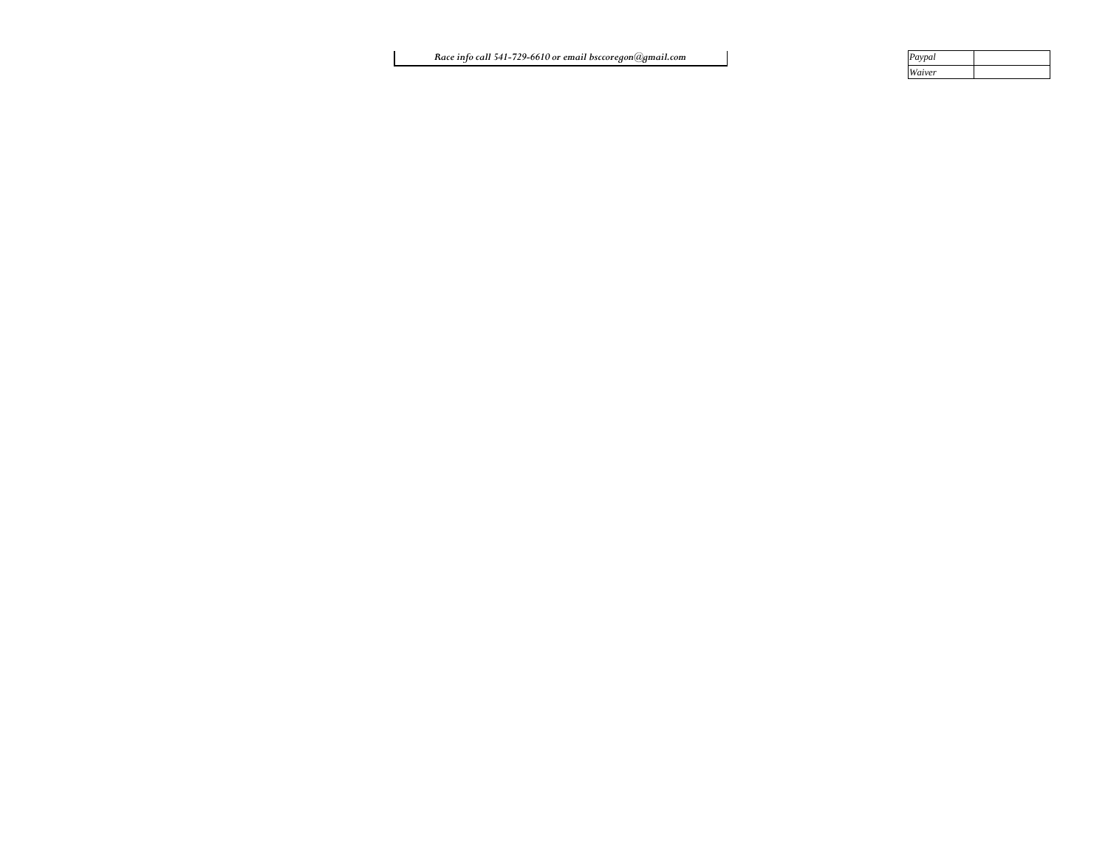| Paypal |  |
|--------|--|
| Waiver |  |

*Race info call 541-729-6610 or email bsccoregon@gmail.com*